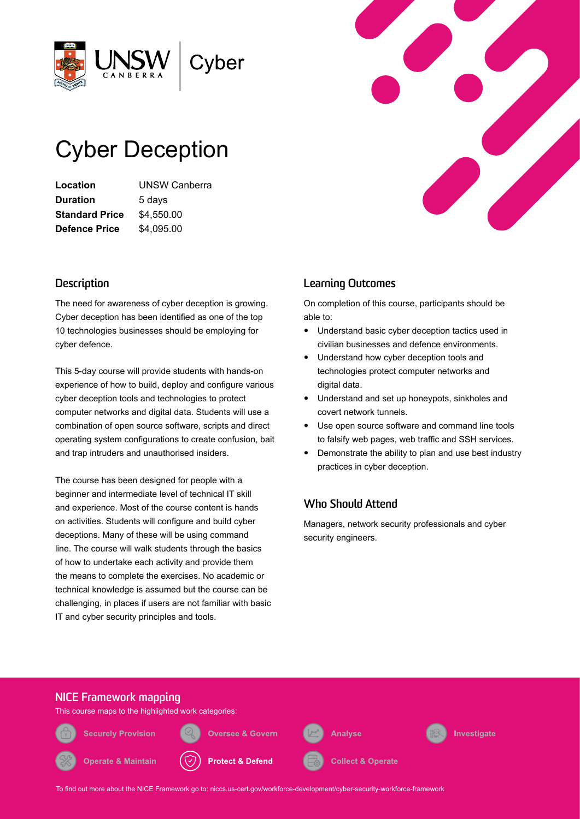

# Cyber Deception

**Location** UNSW Canberra **Duration** 5 days **Standard Price** \$4,550.00 **Defence Price** \$4,095.00

## **Description**

The need for awareness of cyber deception is growing. Cyber deception has been identified as one of the top 10 technologies businesses should be employing for cyber defence.

This 5-day course will provide students with hands-on experience of how to build, deploy and configure various cyber deception tools and technologies to protect computer networks and digital data. Students will use a combination of open source software, scripts and direct operating system configurations to create confusion, bait and trap intruders and unauthorised insiders.

The course has been designed for people with a beginner and intermediate level of technical IT skill and experience. Most of the course content is hands on activities. Students will configure and build cyber deceptions. Many of these will be using command line. The course will walk students through the basics of how to undertake each activity and provide them the means to complete the exercises. No academic or technical knowledge is assumed but the course can be challenging, in places if users are not familiar with basic IT and cyber security principles and tools.



## **Learning Outcomes**

On completion of this course, participants should be able to:

- Understand basic cyber deception tactics used in civilian businesses and defence environments.
- Understand how cyber deception tools and technologies protect computer networks and digital data.
- Understand and set up honeypots, sinkholes and covert network tunnels.
- Use open source software and command line tools to falsify web pages, web traffic and SSH services.
- Demonstrate the ability to plan and use best industry practices in cyber deception.

# **Who Should Attend**

Managers, network security professionals and cyber security engineers.



This course maps to the highlighted work categories:

**Securely Provision** 

**Operate & Maintain** 



**Protect & Defend** 

**Oversee & Govern** 



**Analyse** 



To find out more about the NICE Framework go to: [niccs.us-cert.gov/workforce-development/cyber-security-workforce-framework](http://niccs.us-cert.gov/workforce-development/cyber-security-workforce-framework)